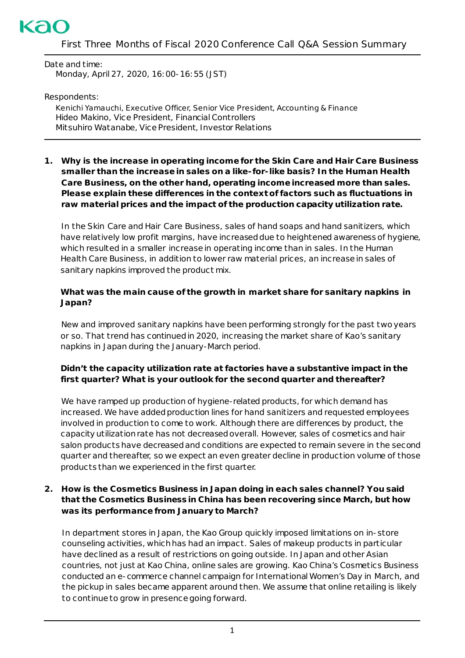

Date and time: Monday, April 27, 2020, 16:00-16:55 (JST)

Respondents:

Kenichi Yamauchi, Executive Officer, Senior Vice President, Accounting & Finance Hideo Makino, Vice President, Financial Controllers Mitsuhiro Watanabe, Vice President, Investor Relations

**1. Why is the increase in operating income for the Skin Care and Hair Care Business smaller than the increase in sales on a like-for-like basis? In the Human Health Care Business, on the other hand, operating income increased more than sales. Please explain these differences in the context of factors such as fluctuations in raw material prices and the impact of the production capacity utilization rate.**

In the Skin Care and Hair Care Business, sales of hand soaps and hand sanitizers, which have relatively low profit margins, have increased due to heightened awareness of hygiene, which resulted in a smaller increase in operating income than in sales. In the Human Health Care Business, in addition to lower raw material prices, an increase in sales of sanitary napkins improved the product mix.

### **What was the main cause of the growth in market share for sanitary napkins in Japan?**

New and improved sanitary napkins have been performing strongly for the past two years or so. That trend has continued in 2020, increasing the market share of Kao's sanitary napkins in Japan during the January-March period.

# **Didn't the capacity utilization rate at factories have a substantive impact in the first quarter? What is your outlook for the second quarter and thereafter?**

We have ramped up production of hygiene-related products, for which demand has increased. We have added production lines for hand sanitizers and requested employees involved in production to come to work. Although there are differences by product, the capacity utilization rate has not decreasedoverall. However, sales of cosmetics and hair salon products have decreasedand conditions are expected to remain severe in the second quarter and thereafter, so we expect an even greater decline in production volume of those products than we experienced in the first quarter.

## **2. How is the Cosmetics Business in Japan doing in each sales channel? You said that the Cosmetics Business in China has been recovering since March, but how was its performance from January to March?**

In department stores in Japan, the Kao Group quickly imposed limitations on in-store counseling activities, which has had an impact. Sales of makeup products in particular have declined as a result of restrictions on going outside. In Japan and other Asian countries, not just at Kao China, online sales are growing. Kao China's Cosmetics Business conducted an e-commerce channel campaign for International Women's Day in March, and the pickup in sales became apparent around then. We assume that online retailing is likely to continue to grow in presence going forward.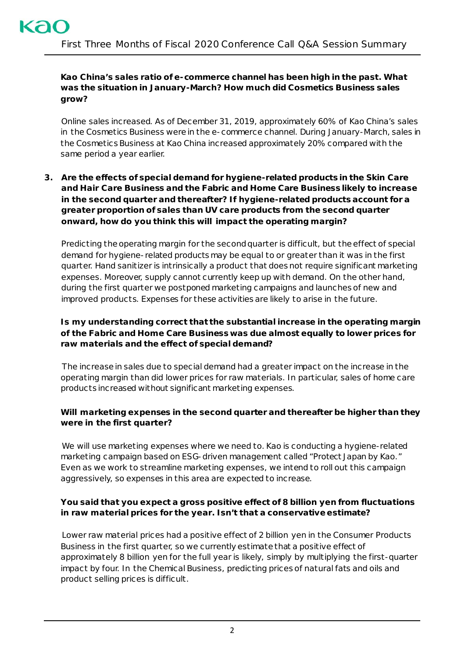## **Kao China's sales ratio of e-commerce channel has been high in the past. What was the situation in January-March? How much did Cosmetics Business sales grow?**

Online sales increased. As of December 31, 2019, approximately 60% of Kao China's sales in the Cosmetics Business were in the e-commerce channel. During January-March, sales in the Cosmetics Business at Kao China increased approximately 20% compared with the same period a year earlier.

## **3. Are the effects of special demand for hygiene-related products in the Skin Care and Hair Care Business and the Fabric and Home Care Business likely to increase in the second quarter and thereafter? If hygiene-related products account for a greater proportion of sales than UV care products from the second quarter onward, how do you think this will impact the operating margin?**

Predicting the operating margin for the second quarter is difficult, but the effect of special demand for hygiene-related products may be equal to or greater than it was in the first quarter. Hand sanitizer is intrinsically a product that does not require significant marketing expenses. Moreover, supply cannot currently keep up with demand. On the other hand, during the first quarter we postponed marketing campaigns and launches of new and improved products. Expenses for these activities are likely to arise in the future.

# **Is my understanding correct that the substantial increase in the operating margin of the Fabric and Home Care Business was due almost equally to lower prices for raw materials and the effect of special demand?**

The increase in sales due to special demand had a greater impact on the increase in the operating margin than did lower prices for raw materials. In particular, sales of home care products increased without significant marketing expenses.

# **Will marketing expenses in the second quarter and thereafter be higher than they were in the first quarter?**

We will use marketing expenses where we need to. Kao is conducting a hygiene-related marketing campaign based on ESG-driven management called "Protect Japan by Kao." Even as we work to streamline marketing expenses, we intend to roll out this campaign aggressively, so expenses in this area are expected to increase.

## **You said that you expect a gross positive effect of 8 billion yen from fluctuations in raw material prices for the year. Isn't that a conservative estimate?**

Lower raw material prices had a positive effect of 2 billion yen in the Consumer Products Business in the first quarter, so we currently estimate that a positive effect of approximately 8 billion yen for the full year is likely, simply by multiplying the first-quarter impact by four. In the Chemical Business, predicting prices of natural fats and oils and product selling prices is difficult.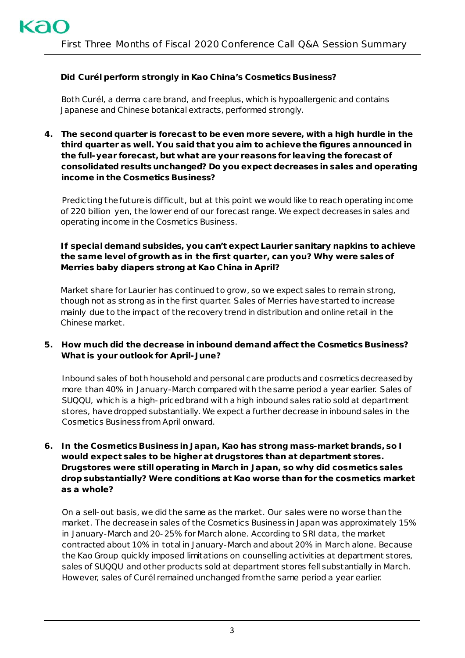# **Did** *Curél* **perform strongly in Kao China's Cosmetics Business?**

Both *Curél,* a derma care brand, and *freeplus,* which is hypoallergenic and contains Japanese and Chinese botanical extracts, performed strongly.

**4. The second quarter is forecast to be even more severe, with a high hurdle in the third quarter as well. You said that you aim to achieve the figures announced in the full-year forecast, but what are your reasons for leaving the forecast of consolidated results unchanged? Do you expect decreases in sales and operating income in the Cosmetics Business?**

Predicting the future is difficult, but at this point we would like to reach operating income of 220 billion yen, the lower end of our forecast range. We expect decreases in sales and operating income in the Cosmetics Business.

# **If special demand subsides, you can't expect** *Laurier* **sanitary napkins to achieve the same level of growth as in the first quarter, can you? Why were sales of**  *Merries* **baby diapers strong at Kao China in April?**

Market share for *Laurier* has continued to grow, so we expect sales to remain strong, though not as strong as in the first quarter. Sales of *Merries* have started to increase mainly due to the impact of the recovery trend in distribution and online retail in the Chinese market.

## **5. How much did the decrease in inbound demand affect the Cosmetics Business? What is your outlook for April-June?**

Inbound sales of both household and personal care products and cosmetics decreased by more than 40% in January-March compared with the same period a year earlier. Sales of *SUQQU*, which is a high-priced brand with a high inbound sales ratio sold at department stores, have dropped substantially. We expect a further decrease in inbound sales in the Cosmetics Business from April onward.

### **6. In the Cosmetics Business in Japan, Kao has strong mass-market brands, so I would expect sales to be higher at drugstores than at department stores. Drugstores were still operating in March in Japan, so why did cosmetics sales drop substantially? Were conditions at Kao worse than for the cosmetics market as a whole?**

On a sell-out basis, we did the same as the market. Our sales were no worse than the market. The decrease in sales of the Cosmetics Business in Japan was approximately 15% in January-March and 20-25% for March alone. According to SRI data, the market contracted about 10% in total in January-March and about 20% in March alone. Because the Kao Group quickly imposed limitations on counselling activities at department stores, sales of *SUQQU* and other products sold at department stores fell substantially in March. However, sales of *Curél* remained unchanged from the same period a year earlier.